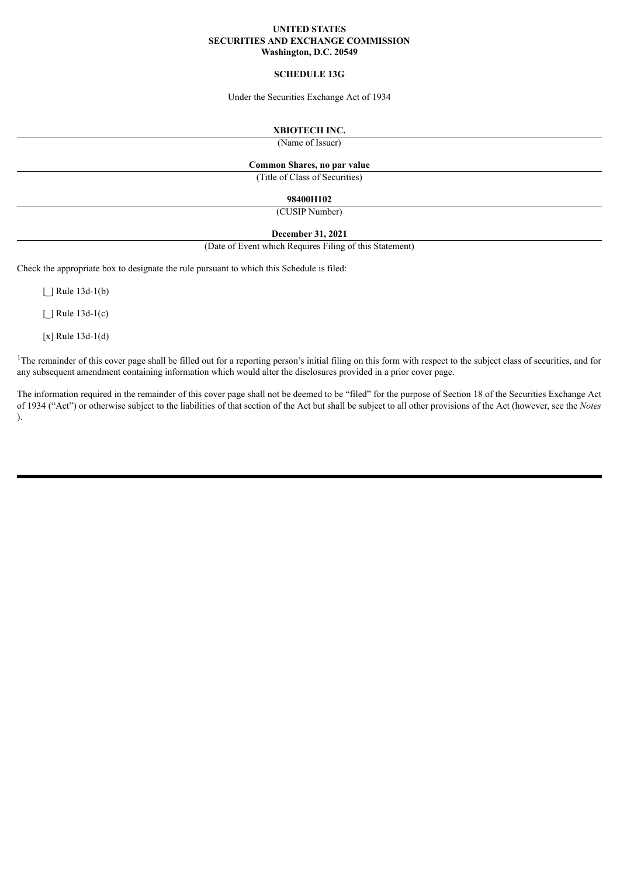#### **UNITED STATES SECURITIES AND EXCHANGE COMMISSION Washington, D.C. 20549**

#### **SCHEDULE 13G**

Under the Securities Exchange Act of 1934

### **XBIOTECH INC.**

(Name of Issuer)

### **Common Shares, no par value**

(Title of Class of Securities)

#### **98400H102**

(CUSIP Number)

### **December 31, 2021**

(Date of Event which Requires Filing of this Statement)

Check the appropriate box to designate the rule pursuant to which this Schedule is filed:

 $\lceil$  | Rule 13d-1(b)

 $\lceil$   $\rceil$  Rule 13d-1(c)

[x] Rule 13d-1(d)

<sup>1</sup>The remainder of this cover page shall be filled out for a reporting person's initial filing on this form with respect to the subject class of securities, and for any subsequent amendment containing information which would alter the disclosures provided in a prior cover page.

The information required in the remainder of this cover page shall not be deemed to be "filed" for the purpose of Section 18 of the Securities Exchange Act of 1934 ("Act") or otherwise subject to the liabilities of that section of the Act but shall be subject to all other provisions of the Act (however, see the *Notes* ).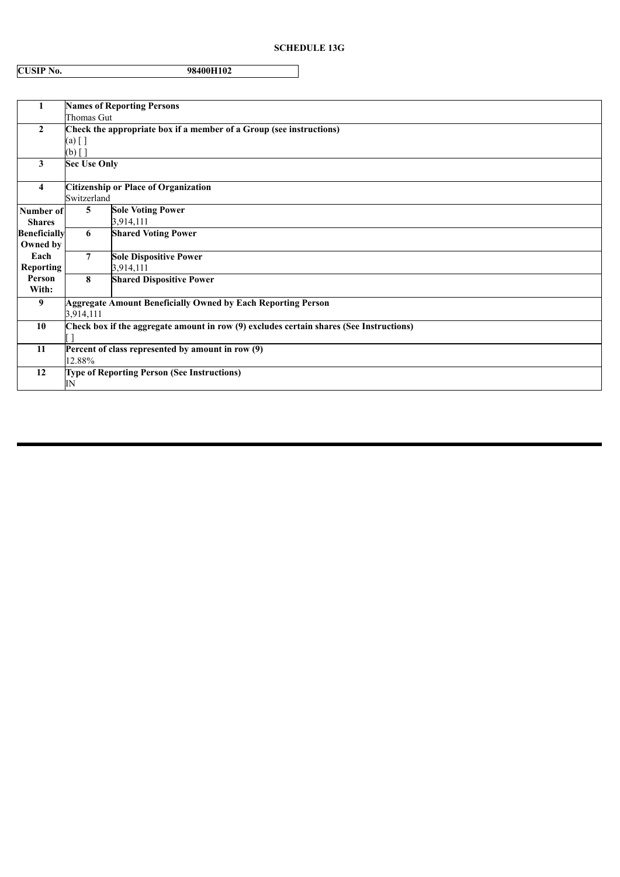# **SCHEDULE 13G**

| <b>CUSIP No.</b> | 98400H102 |
|------------------|-----------|

| 1                   | <b>Names of Reporting Persons</b>                                                       |                                 |  |  |  |
|---------------------|-----------------------------------------------------------------------------------------|---------------------------------|--|--|--|
|                     | Thomas Gut                                                                              |                                 |  |  |  |
| $\mathbf{2}$        | Check the appropriate box if a member of a Group (see instructions)                     |                                 |  |  |  |
|                     | (a) [ ]                                                                                 |                                 |  |  |  |
|                     | $(b)$ [ ]                                                                               |                                 |  |  |  |
| 3                   | <b>Sec Use Only</b>                                                                     |                                 |  |  |  |
| $\overline{4}$      | <b>Citizenship or Place of Organization</b>                                             |                                 |  |  |  |
|                     | Switzerland                                                                             |                                 |  |  |  |
| Number of           | 5                                                                                       | <b>Sole Voting Power</b>        |  |  |  |
| <b>Shares</b>       |                                                                                         | 3,914,111                       |  |  |  |
| <b>Beneficially</b> | 6                                                                                       | <b>Shared Voting Power</b>      |  |  |  |
|                     |                                                                                         |                                 |  |  |  |
| Owned by            |                                                                                         |                                 |  |  |  |
| Each                | $\overline{7}$                                                                          | <b>Sole Dispositive Power</b>   |  |  |  |
| Reporting           |                                                                                         | 3,914,111                       |  |  |  |
| Person              | 8                                                                                       | <b>Shared Dispositive Power</b> |  |  |  |
| With:               |                                                                                         |                                 |  |  |  |
| 9                   | <b>Aggregate Amount Beneficially Owned by Each Reporting Person</b>                     |                                 |  |  |  |
|                     | 3,914,111                                                                               |                                 |  |  |  |
| 10                  | Check box if the aggregate amount in row (9) excludes certain shares (See Instructions) |                                 |  |  |  |
|                     |                                                                                         |                                 |  |  |  |
| 11                  | Percent of class represented by amount in row (9)                                       |                                 |  |  |  |
|                     | 12.88%                                                                                  |                                 |  |  |  |
| 12                  | Type of Reporting Person (See Instructions)                                             |                                 |  |  |  |
|                     | ΙN                                                                                      |                                 |  |  |  |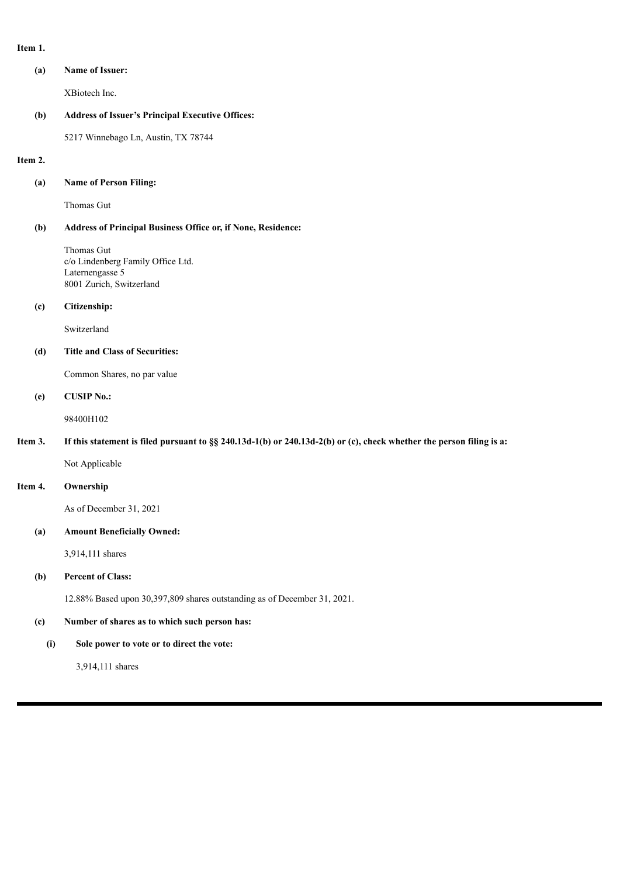| ÷<br>۰.<br>٠ |  |
|--------------|--|
|--------------|--|

| (a) | <b>Name of Issuer:</b> |
|-----|------------------------|
|     | XBiotech Inc.          |

### **(b) Address of Issuer's Principal Executive Offices:**

5217 Winnebago Ln, Austin, TX 78744

#### **Item 2.**

### **(a) Name of Person Filing:**

Thomas Gut

### **(b) Address of Principal Business Office or, if None, Residence:**

Thomas Gut c/o Lindenberg Family Office Ltd. Laternengasse 5 8001 Zurich, Switzerland

#### **(c) Citizenship:**

Switzerland

### **(d) Title and Class of Securities:**

Common Shares, no par value

#### **(e) CUSIP No.:**

98400H102

### Item 3. If this statement is filed pursuant to §§ 240.13d-1(b) or 240.13d-2(b) or (c), check whether the person filing is a:

Not Applicable

# **Item 4. Ownership**

As of December 31, 2021

### **(a) Amount Beneficially Owned:**

3,914,111 shares

### **(b) Percent of Class:**

12.88% Based upon 30,397,809 shares outstanding as of December 31, 2021.

### **(c) Number of shares as to which such person has:**

### **(i) Sole power to vote or to direct the vote:**

3,914,111 shares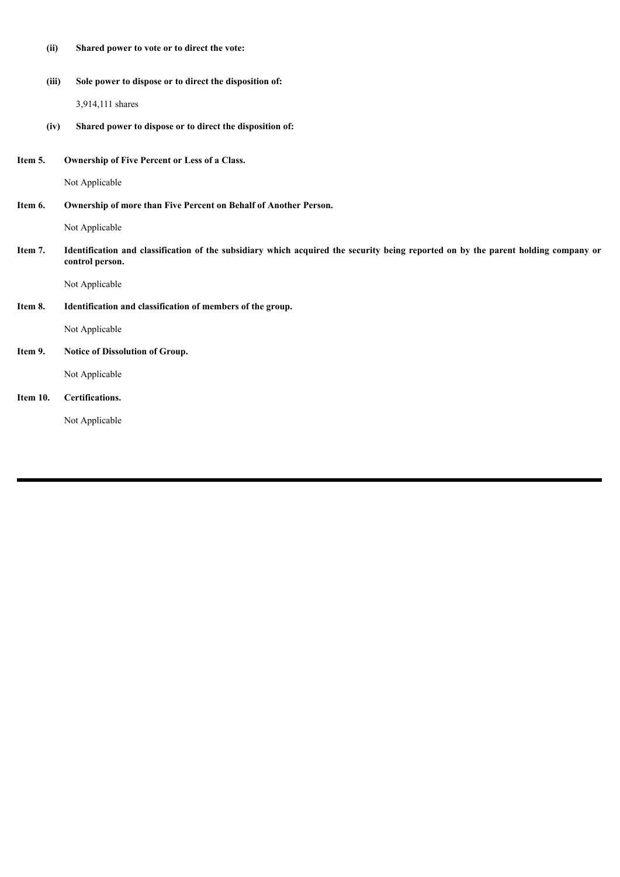| (ii)     | Shared power to vote or to direct the vote:                                                                                                           |
|----------|-------------------------------------------------------------------------------------------------------------------------------------------------------|
| (iii)    | Sole power to dispose or to direct the disposition of:                                                                                                |
|          | 3,914,111 shares                                                                                                                                      |
| (iv)     | Shared power to dispose or to direct the disposition of:                                                                                              |
| Item 5.  | Ownership of Five Percent or Less of a Class.                                                                                                         |
|          | Not Applicable                                                                                                                                        |
| Item 6.  | Ownership of more than Five Percent on Behalf of Another Person.                                                                                      |
|          | Not Applicable                                                                                                                                        |
| Item 7.  | Identification and classification of the subsidiary which acquired the security being reported on by the parent holding company or<br>control person. |
|          | Not Applicable                                                                                                                                        |
| Item 8.  | Identification and classification of members of the group.                                                                                            |
|          | Not Applicable                                                                                                                                        |
| Item 9.  | Notice of Dissolution of Group.                                                                                                                       |
|          | Not Applicable                                                                                                                                        |
| Item 10. | Certifications.                                                                                                                                       |
|          | Not Applicable                                                                                                                                        |